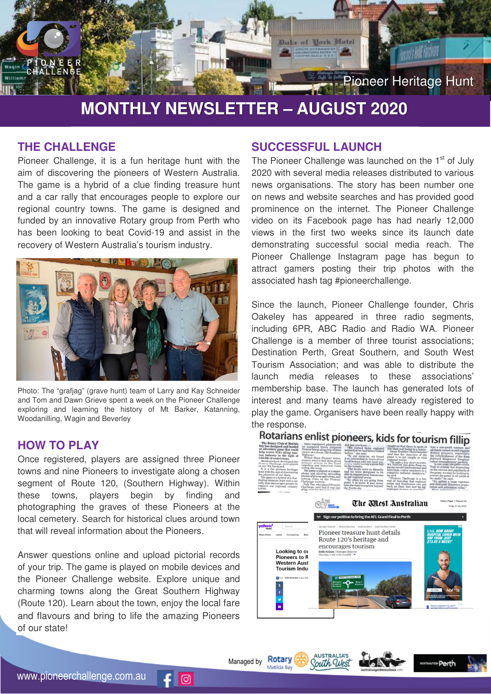

# **MONTHLY NEWSLETTER – AUGUST 2020**

## **THE CHALLENGE**

Pioneer Challenge, it is a fun heritage hunt with the aim of discovering the pioneers of Western Australia. The game is a hybrid of a clue finding treasure hunt and a car rally that encourages people to explore our regional country towns. The game is designed and funded by an innovative Rotary group from Perth who has been looking to beat Covid-19 and assist in the recovery of Western Australia's tourism industry.



Photo: The "grafjag" (grave hunt) team of Larry and Kay Schneider and Tom and Dawn Grieve spent a week on the Pioneer Challenge exploring and learning the history of Mt Barker, Katanning, Woodanilling, Wagin and Beverley

#### **HOW TO PLAY**

Once registered, players are assigned three Pioneer towns and nine Pioneers to investigate along a chosen segment of Route 120, (Southern Highway). Within these towns, players begin by finding and photographing the graves of these Pioneers at the local cemetery. Search for historical clues around town that will reveal information about the Pioneers.

Answer questions online and upload pictorial records of your trip. The game is played on mobile devices and the Pioneer Challenge website. Explore unique and charming towns along the Great Southern Highway (Route 120). Learn about the town, enjoy the local fare and flavours and bring to life the amazing Pioneers of our state!

 $\odot$ 

#### **SUCCESSFUL LAUNCH**

The Pioneer Challenge was launched on the 1<sup>st</sup> of July 2020 with several media releases distributed to various news organisations. The story has been number one on news and website searches and has provided good prominence on the internet. The Pioneer Challenge video on its Facebook page has had nearly 12,000 views in the first two weeks since its launch date demonstrating successful social media reach. The Pioneer Challenge Instagram page has begun to attract gamers posting their trip photos with the associated hash tag #pioneerchallenge.

Since the launch, Pioneer Challenge founder, Chris Oakeley has appeared in three radio segments, including 6PR, ABC Radio and Radio WA. Pioneer Challenge is a member of three tourist associations; Destination Perth, Great Southern, and South West Tourism Association; and was able to distribute the launch media releases to these associations' membership base. The launch has generated lots of interest and many teams have already registered to play the game. Organisers have been really happy with the response.

### Rotarians enlist pioneers, kids for tourism fillin

| The Rotary Club of Matilda<br>Bay has designed and funded<br>an adventure game that could<br>help revive WA's ailing tour-<br>ism industry in the light of<br><b>COVID-19 restrictions</b><br>Members have developed the<br>Pioneer Challenge, to be played<br>in our WA backyard.<br>It is a fun pioneer heritage<br>hunt with the aim of discovering<br>the pioneers of our State.<br>The game is a hybrid of a clue-<br>finding treasure hunt and a car<br>rally that encourages people to<br>explore our regional country<br>towns. | Once registered, players will<br>be assigned three surprise<br>Pioneer towns along trip of their<br>choice on a Route 120 (Southern<br>Highway).<br>Within these Pioneer towns.<br>players need to find three given<br>pioneer graves at the local<br>cemetery and historical clues<br>within the town.<br>The game is played on a smart-<br>phone and involves uploading<br>photos of graves and towns, and<br>solving clues on the Pioneer<br>Challenge website.<br>Judy Tan, who played Pioneer<br>Challenge, said that it was one<br>of the most fun things her family | did last weekend.<br>"We visited three regional<br>towns that we had never visited<br>before," she said.<br>"To our surprise, we found<br>it so interesting to learn about<br>local history and our local pio-<br>neers, while having a great day<br>in the country.<br>"The locals were so friendly,<br>and we were delighted to be<br>able to support local businesses<br>in our regional areas.<br>"So often we are going from<br>point A to point B and never<br>take the time to explore beyond<br>the Perth city. | taught us that there is more to<br>life than just being in a hurry.<br><b>Game founder Chris Oakeley</b><br>said that the objective of the<br>game is to get people to visit<br>regional towns.<br>"In only a few short months.<br>WA tourism has gone from en-<br>joying record international and<br>interstate visitor numbers to a<br>complete industry shutdown."<br>he said.<br>"Pioneer Challenge is a fun<br>way of ensuring that regional<br>towns and businesses can get<br>back on their feet and be op-<br>erational as soon as possible. | was a non-profit venture and<br>all funds raised would support<br>Rotary projects, especially<br>the refurbishment of the King<br><b>Edward Memorial Hospital</b><br>infant remembrance gardens.<br>"At this stage, the game covers<br>York to Albany but depending<br>on the success and popularity of<br>the game, we may be looking to<br>extend the game to all parts of<br>the state," he said.<br>"So, gather a team together<br>and start your discovery, explo-<br>ration and adventure today."<br>More information of |
|-----------------------------------------------------------------------------------------------------------------------------------------------------------------------------------------------------------------------------------------------------------------------------------------------------------------------------------------------------------------------------------------------------------------------------------------------------------------------------------------------------------------------------------------|----------------------------------------------------------------------------------------------------------------------------------------------------------------------------------------------------------------------------------------------------------------------------------------------------------------------------------------------------------------------------------------------------------------------------------------------------------------------------------------------------------------------------------------------------------------------------|-------------------------------------------------------------------------------------------------------------------------------------------------------------------------------------------------------------------------------------------------------------------------------------------------------------------------------------------------------------------------------------------------------------------------------------------------------------------------------------------------------------------------|------------------------------------------------------------------------------------------------------------------------------------------------------------------------------------------------------------------------------------------------------------------------------------------------------------------------------------------------------------------------------------------------------------------------------------------------------------------------------------------------------------------------------------------------------|--------------------------------------------------------------------------------------------------------------------------------------------------------------------------------------------------------------------------------------------------------------------------------------------------------------------------------------------------------------------------------------------------------------------------------------------------------------------------------------------------------------------------------|
| vahoo!<br>Search<br><b>News Home</b><br>Latest<br>Coronavirus<br>Looking to ou<br><b>Pioneers to R</b>                                                                                                                                                                                                                                                                                                                                                                                                                                  | Natio<br>Kellie Balaam   Narrozin Observer<br>Thursday, 2 July 2020 12:16PM   +                                                                                                                                                                                                                                                                                                                                                                                                                                                                                            | Sign our petition to bring the AFL Grand Final to Perth<br>Narrogin Observer   Albany Advertiser   Great Southern   Great Southern Herald<br>Pioneer treasure hunt details<br>Route 120's heritage and<br>encourages tourism                                                                                                                                                                                                                                                                                            | The Mest Anstralian                                                                                                                                                                                                                                                                                                                                                                                                                                                                                                                                  | Today's Paper   Place an Ad<br>Friday, 17 July 2020<br><b>Well. HOW ABOUT</b><br><b>HOSPITAL COVER WITH</b><br><b>HBF FROM JUST</b><br><b>S13.55 A WEEK?</b>                                                                                                                                                                                                                                                                                                                                                                   |
| <b>Western Aust</b><br><b>Tourism Indus</b><br><b>CO-</b> ABN Newswire 8 July 2020<br>Ŧ<br>v<br>Е                                                                                                                                                                                                                                                                                                                                                                                                                                       | <b>Brookton</b><br><b>Northam</b>                                                                                                                                                                                                                                                                                                                                                                                                                                                                                                                                          | GREAT SOUTHERN HWY<br>Wagin<br>Alban                                                                                                                                                                                                                                                                                                                                                                                                                                                                                    |                                                                                                                                                                                                                                                                                                                                                                                                                                                                                                                                                      | Telstra ranked #1 for nbn™<br>erage latency performan                                                                                                                                                                                                                                                                                                                                                                                                                                                                          |

**AUSTRALIA'S** South Wes